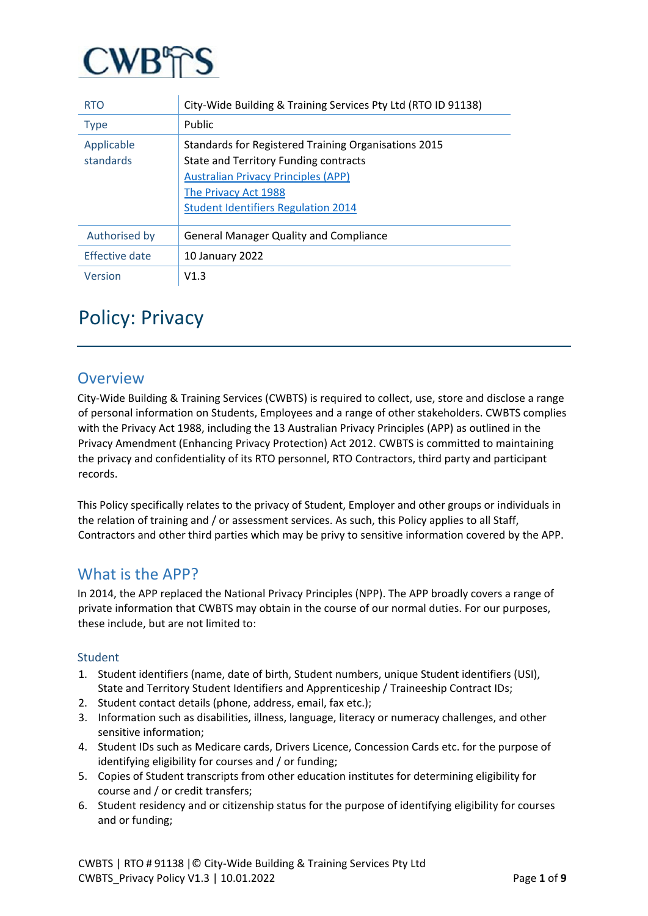

| <b>RTO</b>              | City-Wide Building & Training Services Pty Ltd (RTO ID 91138)                                                                                                                                                     |
|-------------------------|-------------------------------------------------------------------------------------------------------------------------------------------------------------------------------------------------------------------|
| <b>Type</b>             | Public                                                                                                                                                                                                            |
| Applicable<br>standards | Standards for Registered Training Organisations 2015<br>State and Territory Funding contracts<br><b>Australian Privacy Principles (APP)</b><br>The Privacy Act 1988<br><b>Student Identifiers Regulation 2014</b> |
| Authorised by           | <b>General Manager Quality and Compliance</b>                                                                                                                                                                     |
| Effective date          | 10 January 2022                                                                                                                                                                                                   |
| Version                 | V1.3                                                                                                                                                                                                              |

# Policy: Privacy

### Overview

City-Wide Building & Training Services (CWBTS) is required to collect, use, store and disclose a range of personal information on Students, Employees and a range of other stakeholders. CWBTS complies with the Privacy Act 1988, including the 13 Australian Privacy Principles (APP) as outlined in the Privacy Amendment (Enhancing Privacy Protection) Act 2012. CWBTS is committed to maintaining the privacy and confidentiality of its RTO personnel, RTO Contractors, third party and participant records.

This Policy specifically relates to the privacy of Student, Employer and other groups or individuals in the relation of training and / or assessment services. As such, this Policy applies to all Staff, Contractors and other third parties which may be privy to sensitive information covered by the APP.

### What is the APP?

In 2014, the APP replaced the National Privacy Principles (NPP). The APP broadly covers a range of private information that CWBTS may obtain in the course of our normal duties. For our purposes, these include, but are not limited to:

#### Student

- 1. Student identifiers (name, date of birth, Student numbers, unique Student identifiers (USI), State and Territory Student Identifiers and Apprenticeship / Traineeship Contract IDs;
- 2. Student contact details (phone, address, email, fax etc.);
- 3. Information such as disabilities, illness, language, literacy or numeracy challenges, and other sensitive information;
- 4. Student IDs such as Medicare cards, Drivers Licence, Concession Cards etc. for the purpose of identifying eligibility for courses and / or funding;
- 5. Copies of Student transcripts from other education institutes for determining eligibility for course and / or credit transfers;
- 6. Student residency and or citizenship status for the purpose of identifying eligibility for courses and or funding;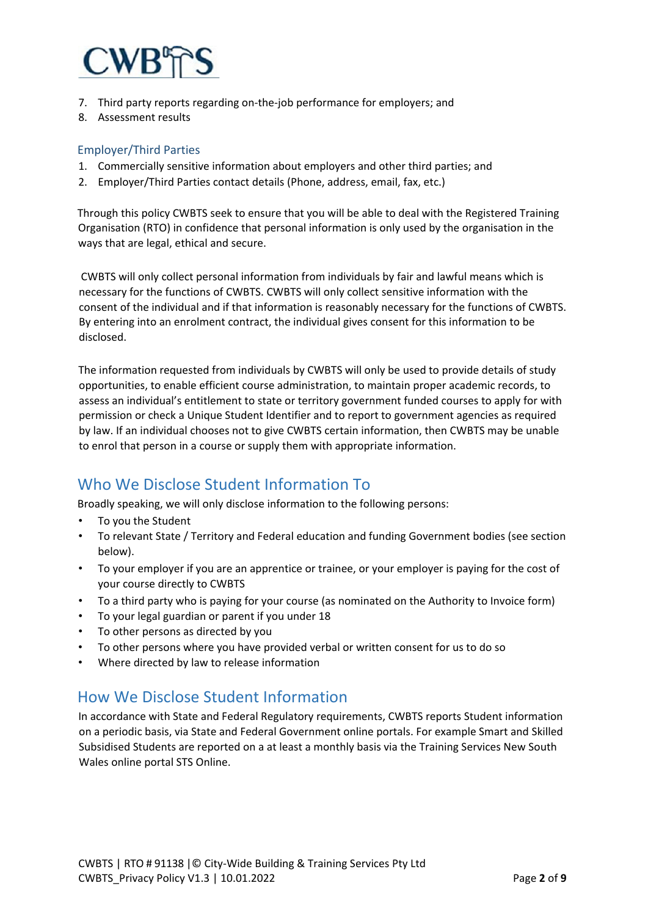

- 7. Third party reports regarding on-the-job performance for employers; and
- 8. Assessment results

#### Employer/Third Parties

- 1. Commercially sensitive information about employers and other third parties; and
- 2. Employer/Third Parties contact details (Phone, address, email, fax, etc.)

Through this policy CWBTS seek to ensure that you will be able to deal with the Registered Training Organisation (RTO) in confidence that personal information is only used by the organisation in the ways that are legal, ethical and secure.

CWBTS will only collect personal information from individuals by fair and lawful means which is necessary for the functions of CWBTS. CWBTS will only collect sensitive information with the consent of the individual and if that information is reasonably necessary for the functions of CWBTS. By entering into an enrolment contract, the individual gives consent for this information to be disclosed.

The information requested from individuals by CWBTS will only be used to provide details of study opportunities, to enable efficient course administration, to maintain proper academic records, to assess an individual's entitlement to state or territory government funded courses to apply for with permission or check a Unique Student Identifier and to report to government agencies as required by law. If an individual chooses not to give CWBTS certain information, then CWBTS may be unable to enrol that person in a course or supply them with appropriate information.

### Who We Disclose Student Information To

Broadly speaking, we will only disclose information to the following persons:

- To you the Student
- To relevant State / Territory and Federal education and funding Government bodies (see section below).
- To your employer if you are an apprentice or trainee, or your employer is paying for the cost of your course directly to CWBTS
- To a third party who is paying for your course (as nominated on the Authority to Invoice form)
- To your legal guardian or parent if you under 18
- To other persons as directed by you
- To other persons where you have provided verbal or written consent for us to do so
- Where directed by law to release information

### How We Disclose Student Information

In accordance with State and Federal Regulatory requirements, CWBTS reports Student information on a periodic basis, via State and Federal Government online portals. For example Smart and Skilled Subsidised Students are reported on a at least a monthly basis via the Training Services New South Wales online portal STS Online.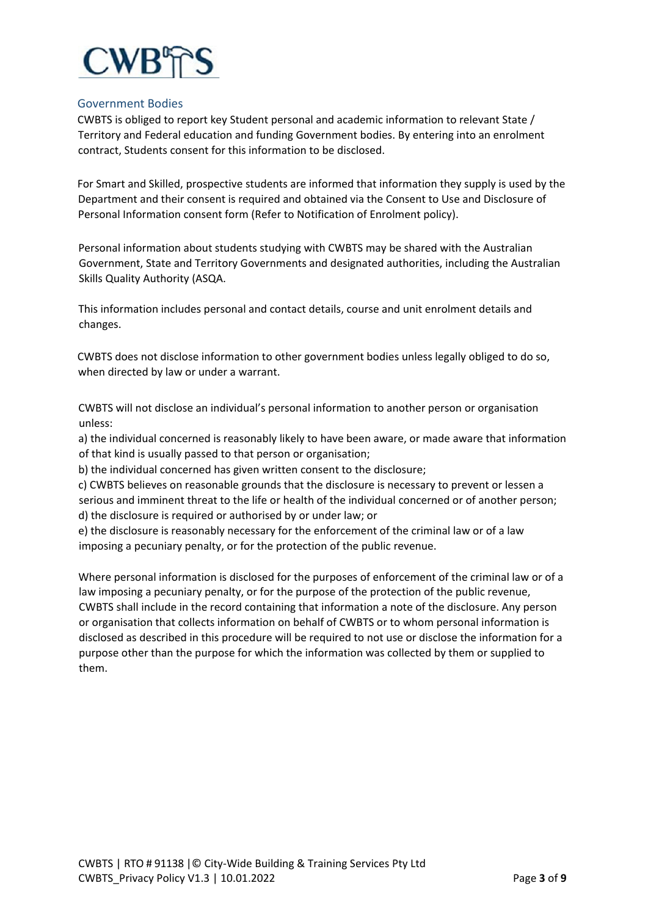

#### Government Bodies

CWBTS is obliged to report key Student personal and academic information to relevant State / Territory and Federal education and funding Government bodies. By entering into an enrolment contract, Students consent for this information to be disclosed.

For Smart and Skilled, prospective students are informed that information they supply is used by the Department and their consent is required and obtained via the Consent to Use and Disclosure of Personal Information consent form (Refer to Notification of Enrolment policy).

Personal information about students studying with CWBTS may be shared with the Australian Government, State and Territory Governments and designated authorities, including the Australian Skills Quality Authority (ASQA.

This information includes personal and contact details, course and unit enrolment details and changes.

CWBTS does not disclose information to other government bodies unless legally obliged to do so, when directed by law or under a warrant.

CWBTS will not disclose an individual's personal information to another person or organisation unless:

a) the individual concerned is reasonably likely to have been aware, or made aware that information of that kind is usually passed to that person or organisation;

b) the individual concerned has given written consent to the disclosure;

c) CWBTS believes on reasonable grounds that the disclosure is necessary to prevent or lessen a serious and imminent threat to the life or health of the individual concerned or of another person; d) the disclosure is required or authorised by or under law; or

e) the disclosure is reasonably necessary for the enforcement of the criminal law or of a law imposing a pecuniary penalty, or for the protection of the public revenue.

Where personal information is disclosed for the purposes of enforcement of the criminal law or of a law imposing a pecuniary penalty, or for the purpose of the protection of the public revenue, CWBTS shall include in the record containing that information a note of the disclosure. Any person or organisation that collects information on behalf of CWBTS or to whom personal information is disclosed as described in this procedure will be required to not use or disclose the information for a purpose other than the purpose for which the information was collected by them or supplied to them.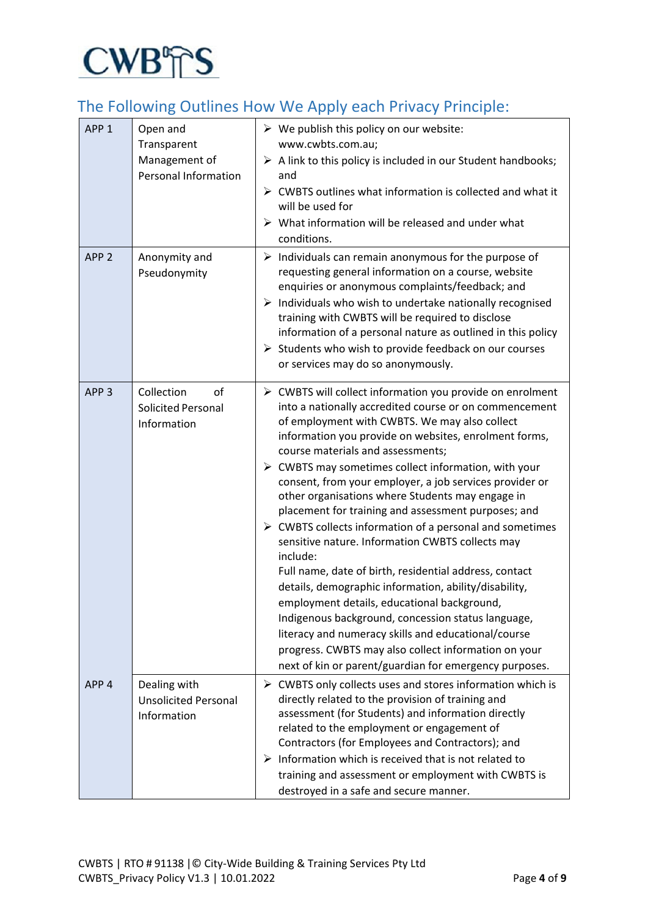

## The Following Outlines How We Apply each Privacy Principle:

| APP <sub>1</sub> | Open and<br>Transparent<br>Management of<br>Personal Information | $\triangleright$ We publish this policy on our website:<br>www.cwbts.com.au;<br>$\triangleright$ A link to this policy is included in our Student handbooks;<br>and<br>$\triangleright$ CWBTS outlines what information is collected and what it<br>will be used for<br>$\triangleright$ What information will be released and under what<br>conditions.                                                                                                                                                                                                                                                                                                                                                                                                                                                                                                                                                                                                                                                                                                    |
|------------------|------------------------------------------------------------------|-------------------------------------------------------------------------------------------------------------------------------------------------------------------------------------------------------------------------------------------------------------------------------------------------------------------------------------------------------------------------------------------------------------------------------------------------------------------------------------------------------------------------------------------------------------------------------------------------------------------------------------------------------------------------------------------------------------------------------------------------------------------------------------------------------------------------------------------------------------------------------------------------------------------------------------------------------------------------------------------------------------------------------------------------------------|
| APP <sub>2</sub> | Anonymity and<br>Pseudonymity                                    | $\triangleright$ Individuals can remain anonymous for the purpose of<br>requesting general information on a course, website<br>enquiries or anonymous complaints/feedback; and<br>$\triangleright$ Individuals who wish to undertake nationally recognised<br>training with CWBTS will be required to disclose<br>information of a personal nature as outlined in this policy<br>$\triangleright$ Students who wish to provide feedback on our courses<br>or services may do so anonymously.                                                                                                                                                                                                                                                                                                                                                                                                                                                                                                                                                                |
| APP <sub>3</sub> | Collection<br>οf<br><b>Solicited Personal</b><br>Information     | ▶ CWBTS will collect information you provide on enrolment<br>into a nationally accredited course or on commencement<br>of employment with CWBTS. We may also collect<br>information you provide on websites, enrolment forms,<br>course materials and assessments;<br>$\triangleright$ CWBTS may sometimes collect information, with your<br>consent, from your employer, a job services provider or<br>other organisations where Students may engage in<br>placement for training and assessment purposes; and<br>$\triangleright$ CWBTS collects information of a personal and sometimes<br>sensitive nature. Information CWBTS collects may<br>include:<br>Full name, date of birth, residential address, contact<br>details, demographic information, ability/disability,<br>employment details, educational background,<br>Indigenous background, concession status language,<br>literacy and numeracy skills and educational/course<br>progress. CWBTS may also collect information on your<br>next of kin or parent/guardian for emergency purposes. |
| APP <sub>4</sub> | Dealing with<br><b>Unsolicited Personal</b><br>Information       | > CWBTS only collects uses and stores information which is<br>directly related to the provision of training and<br>assessment (for Students) and information directly<br>related to the employment or engagement of<br>Contractors (for Employees and Contractors); and<br>$\triangleright$ Information which is received that is not related to<br>training and assessment or employment with CWBTS is<br>destroyed in a safe and secure manner.                                                                                                                                                                                                                                                                                                                                                                                                                                                                                                                                                                                                           |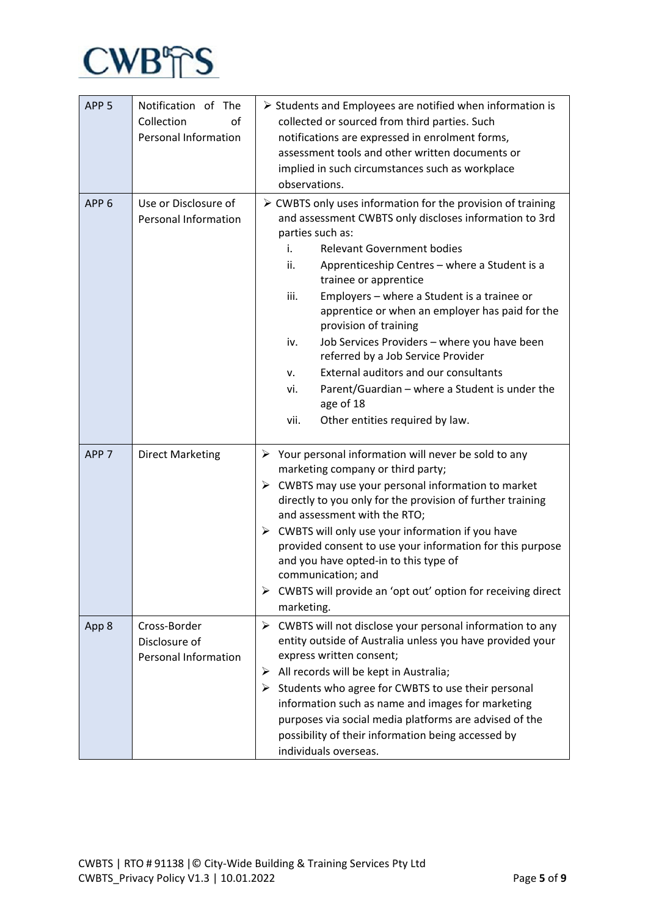

| APP <sub>5</sub> | Notification of The<br>Collection<br>οf<br>Personal Information | $\triangleright$ Students and Employees are notified when information is<br>collected or sourced from third parties. Such<br>notifications are expressed in enrolment forms,<br>assessment tools and other written documents or<br>implied in such circumstances such as workplace<br>observations.                                                                                                                                                                                                                                                                                                                                                                                         |  |
|------------------|-----------------------------------------------------------------|---------------------------------------------------------------------------------------------------------------------------------------------------------------------------------------------------------------------------------------------------------------------------------------------------------------------------------------------------------------------------------------------------------------------------------------------------------------------------------------------------------------------------------------------------------------------------------------------------------------------------------------------------------------------------------------------|--|
| APP <sub>6</sub> | Use or Disclosure of<br>Personal Information                    | $\triangleright$ CWBTS only uses information for the provision of training<br>and assessment CWBTS only discloses information to 3rd<br>parties such as:<br>i.<br><b>Relevant Government bodies</b><br>ii.<br>Apprenticeship Centres - where a Student is a<br>trainee or apprentice<br>iii.<br>Employers - where a Student is a trainee or<br>apprentice or when an employer has paid for the<br>provision of training<br>iv.<br>Job Services Providers - where you have been<br>referred by a Job Service Provider<br><b>External auditors and our consultants</b><br>v.<br>vi.<br>Parent/Guardian - where a Student is under the<br>age of 18<br>vii.<br>Other entities required by law. |  |
| APP <sub>7</sub> | <b>Direct Marketing</b>                                         | $\triangleright$ Your personal information will never be sold to any<br>marketing company or third party;<br>$\triangleright$ CWBTS may use your personal information to market<br>directly to you only for the provision of further training<br>and assessment with the RTO;<br>CWBTS will only use your information if you have<br>➤<br>provided consent to use your information for this purpose<br>and you have opted-in to this type of<br>communication; and<br>CWBTS will provide an 'opt out' option for receiving direct<br>➤<br>marketing.                                                                                                                                        |  |
| App 8            | Cross-Border<br>Disclosure of<br><b>Personal Information</b>    | CWBTS will not disclose your personal information to any<br>➤<br>entity outside of Australia unless you have provided your<br>express written consent;<br>All records will be kept in Australia;<br>➤<br>Students who agree for CWBTS to use their personal<br>➤<br>information such as name and images for marketing<br>purposes via social media platforms are advised of the<br>possibility of their information being accessed by<br>individuals overseas.                                                                                                                                                                                                                              |  |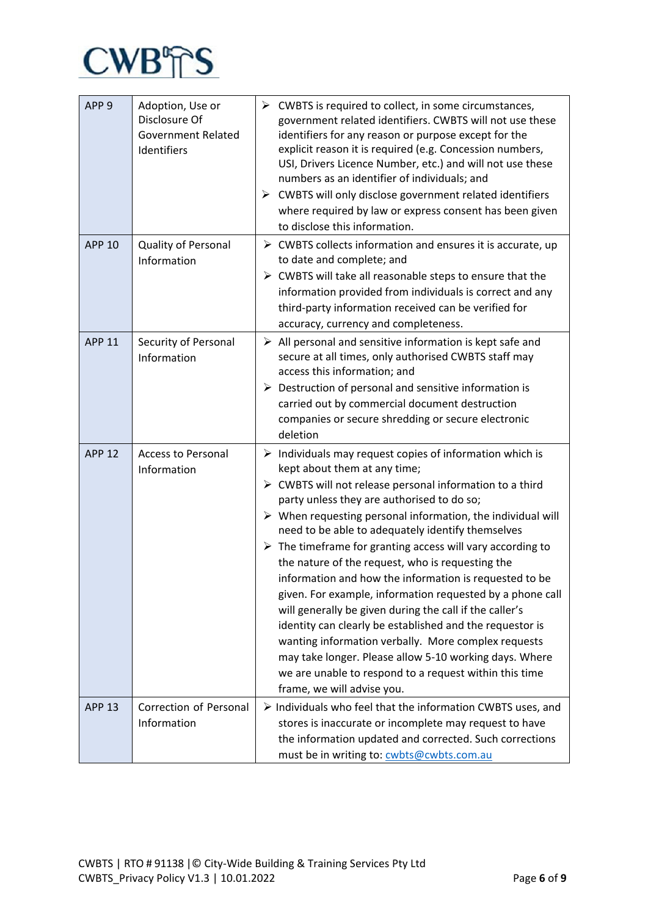

| APP <sub>9</sub> | Adoption, Use or<br>Disclosure Of<br><b>Government Related</b><br>Identifiers | $\triangleright$ CWBTS is required to collect, in some circumstances,<br>government related identifiers. CWBTS will not use these<br>identifiers for any reason or purpose except for the<br>explicit reason it is required (e.g. Concession numbers,<br>USI, Drivers Licence Number, etc.) and will not use these<br>numbers as an identifier of individuals; and<br>CWBTS will only disclose government related identifiers<br>➤<br>where required by law or express consent has been given<br>to disclose this information.                                                                                                                                                                                                                                                                                                                                                                                                               |
|------------------|-------------------------------------------------------------------------------|----------------------------------------------------------------------------------------------------------------------------------------------------------------------------------------------------------------------------------------------------------------------------------------------------------------------------------------------------------------------------------------------------------------------------------------------------------------------------------------------------------------------------------------------------------------------------------------------------------------------------------------------------------------------------------------------------------------------------------------------------------------------------------------------------------------------------------------------------------------------------------------------------------------------------------------------|
| <b>APP 10</b>    | Quality of Personal<br>Information                                            | $\triangleright$ CWBTS collects information and ensures it is accurate, up<br>to date and complete; and<br>> CWBTS will take all reasonable steps to ensure that the<br>information provided from individuals is correct and any<br>third-party information received can be verified for<br>accuracy, currency and completeness.                                                                                                                                                                                                                                                                                                                                                                                                                                                                                                                                                                                                             |
| <b>APP 11</b>    | Security of Personal<br>Information                                           | $\triangleright$ All personal and sensitive information is kept safe and<br>secure at all times, only authorised CWBTS staff may<br>access this information; and<br>Destruction of personal and sensitive information is<br>➤<br>carried out by commercial document destruction<br>companies or secure shredding or secure electronic<br>deletion                                                                                                                                                                                                                                                                                                                                                                                                                                                                                                                                                                                            |
| <b>APP 12</b>    | <b>Access to Personal</b><br>Information                                      | $\triangleright$ Individuals may request copies of information which is<br>kept about them at any time;<br>> CWBTS will not release personal information to a third<br>party unless they are authorised to do so;<br>$\triangleright$ When requesting personal information, the individual will<br>need to be able to adequately identify themselves<br>$\triangleright$ The timeframe for granting access will vary according to<br>the nature of the request, who is requesting the<br>information and how the information is requested to be<br>given. For example, information requested by a phone call<br>will generally be given during the call if the caller's<br>identity can clearly be established and the requestor is<br>wanting information verbally. More complex requests<br>may take longer. Please allow 5-10 working days. Where<br>we are unable to respond to a request within this time<br>frame, we will advise you. |
| <b>APP 13</b>    | Correction of Personal<br>Information                                         | $\triangleright$ Individuals who feel that the information CWBTS uses, and<br>stores is inaccurate or incomplete may request to have<br>the information updated and corrected. Such corrections<br>must be in writing to: cwbts@cwbts.com.au                                                                                                                                                                                                                                                                                                                                                                                                                                                                                                                                                                                                                                                                                                 |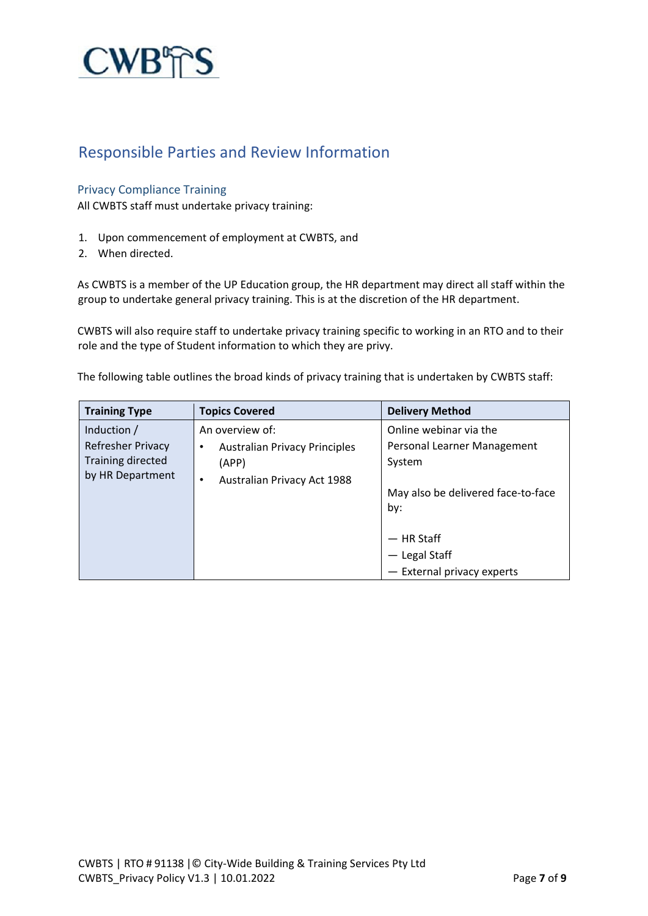

### Responsible Parties and Review Information

#### Privacy Compliance Training

All CWBTS staff must undertake privacy training:

- 1. Upon commencement of employment at CWBTS, and
- 2. When directed.

As CWBTS is a member of the UP Education group, the HR department may direct all staff within the group to undertake general privacy training. This is at the discretion of the HR department.

CWBTS will also require staff to undertake privacy training specific to working in an RTO and to their role and the type of Student information to which they are privy.

The following table outlines the broad kinds of privacy training that is undertaken by CWBTS staff:

| <b>Training Type</b>     | <b>Topics Covered</b>                | <b>Delivery Method</b>             |
|--------------------------|--------------------------------------|------------------------------------|
| Induction /              | An overview of:                      | Online webinar via the             |
| <b>Refresher Privacy</b> | <b>Australian Privacy Principles</b> | Personal Learner Management        |
| <b>Training directed</b> | (APP)                                | System                             |
| by HR Department         | Australian Privacy Act 1988<br>٠     |                                    |
|                          |                                      | May also be delivered face-to-face |
|                          |                                      | by:                                |
|                          |                                      | — HR Staff                         |
|                          |                                      |                                    |
|                          |                                      | - Legal Staff                      |
|                          |                                      | - External privacy experts         |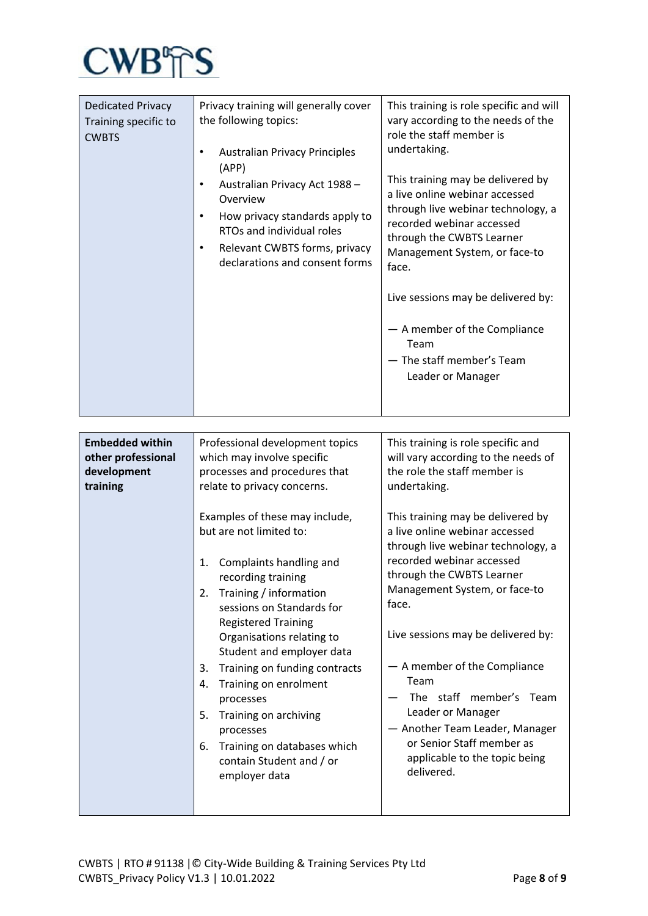

| <b>Dedicated Privacy</b><br>Training specific to<br><b>CWBTS</b>        | Privacy training will generally cover<br>the following topics:<br><b>Australian Privacy Principles</b><br>$\bullet$<br>(APP)<br>Australian Privacy Act 1988 -<br>$\bullet$<br>Overview<br>How privacy standards apply to<br>$\bullet$<br>RTOs and individual roles<br>Relevant CWBTS forms, privacy<br>$\bullet$<br>declarations and consent forms                                                                                                                                                                                                                                                                      | This training is role specific and will<br>vary according to the needs of the<br>role the staff member is<br>undertaking.<br>This training may be delivered by<br>a live online webinar accessed<br>through live webinar technology, a<br>recorded webinar accessed<br>through the CWBTS Learner<br>Management System, or face-to<br>face.<br>Live sessions may be delivered by:<br>- A member of the Compliance<br>Team<br>- The staff member's Team<br>Leader or Manager                                                                                                                |
|-------------------------------------------------------------------------|-------------------------------------------------------------------------------------------------------------------------------------------------------------------------------------------------------------------------------------------------------------------------------------------------------------------------------------------------------------------------------------------------------------------------------------------------------------------------------------------------------------------------------------------------------------------------------------------------------------------------|-------------------------------------------------------------------------------------------------------------------------------------------------------------------------------------------------------------------------------------------------------------------------------------------------------------------------------------------------------------------------------------------------------------------------------------------------------------------------------------------------------------------------------------------------------------------------------------------|
|                                                                         |                                                                                                                                                                                                                                                                                                                                                                                                                                                                                                                                                                                                                         |                                                                                                                                                                                                                                                                                                                                                                                                                                                                                                                                                                                           |
| <b>Embedded within</b><br>other professional<br>development<br>training | Professional development topics<br>which may involve specific<br>processes and procedures that<br>relate to privacy concerns.<br>Examples of these may include,<br>but are not limited to:<br>Complaints handling and<br>1.<br>recording training<br>Training / information<br>2.<br>sessions on Standards for<br><b>Registered Training</b><br>Organisations relating to<br>Student and employer data<br>Training on funding contracts<br>3.<br>Training on enrolment<br>4.<br>processes<br>Training on archiving<br>5.<br>processes<br>Training on databases which<br>6.<br>contain Student and / or<br>employer data | This training is role specific and<br>will vary according to the needs of<br>the role the staff member is<br>undertaking.<br>This training may be delivered by<br>a live online webinar accessed<br>through live webinar technology, a<br>recorded webinar accessed<br>through the CWBTS Learner<br>Management System, or face-to<br>face.<br>Live sessions may be delivered by:<br>- A member of the Compliance<br>Team<br>The staff member's<br>Team<br>Leader or Manager<br>- Another Team Leader, Manager<br>or Senior Staff member as<br>applicable to the topic being<br>delivered. |